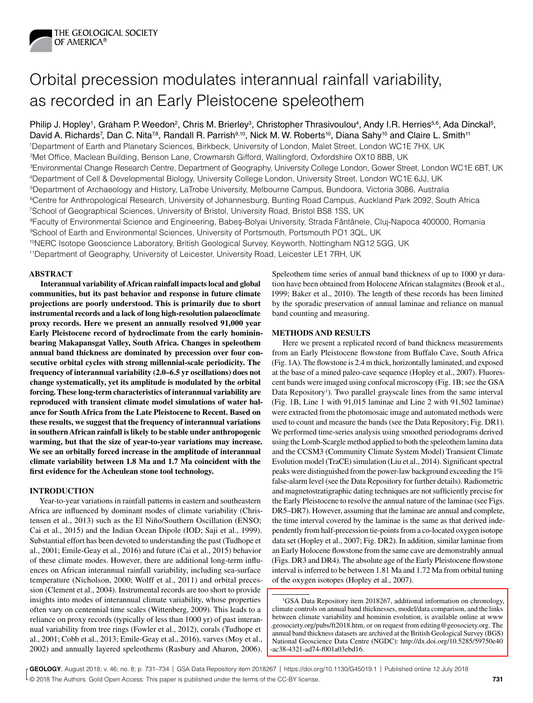

# Orbital precession modulates interannual rainfall variability, as recorded in an Early Pleistocene speleothem

Philip J. Hopley<sup>1</sup>, Graham P. Weedon<sup>2</sup>, Chris M. Brierley<sup>3</sup>, Christopher Thrasivoulou<sup>4</sup>, Andy I.R. Herries<sup>5,6</sup>, Ada Dinckal<sup>5</sup>, David A. Richards<sup>7</sup>, Dan C. Nita<sup>78</sup>, Randall R. Parrish<sup>9,10</sup>, Nick M. W. Roberts<sup>10</sup>, Diana Sahy<sup>10</sup> and Claire L. Smith<sup>11</sup> 1Department of Earth and Planetary Sciences, Birkbeck, University of London, Malet Street, London WC1E 7HX, UK 2Met Office, Maclean Building, Benson Lane, Crowmarsh Gifford, Wallingford, Oxfordshire OX10 8BB, UK 3Environmental Change Research Centre, Department of Geography, University College London, Gower Street, London WC1E 6BT, UK 4Department of Cell & Developmental Biology, University College London, University Street, London WC1E 6JJ, UK 5Department of Archaeology and History, LaTrobe University, Melbourne Campus, Bundoora, Victoria 3086, Australia 6Centre for Anthropological Research, University of Johannesburg, Bunting Road Campus, Auckland Park 2092, South Africa 7School of Geographical Sciences, University of Bristol, University Road, Bristol BS8 1SS, UK <sup>8</sup>Faculty of Environmental Science and Engineering, Babes-Bolyai University, Strada Fântânele, Cluj-Napoca 400000, Romania 9School of Earth and Environmental Sciences, University of Portsmouth, Portsmouth PO1 3QL, UK 10NERC Isotope Geoscience Laboratory, British Geological Survey, Keyworth, Nottingham NG12 5GG, UK 11Department of Geography, University of Leicester, University Road, Leicester LE1 7RH, UK

## **ABSTRACT**

**Interannual variability of African rainfall impacts local and global communities, but its past behavior and response in future climate projections are poorly understood. This is primarily due to short instrumental records and a lack of long high-resolution palaeoclimate proxy records. Here we present an annually resolved 91,000 year Early Pleistocene record of hydroclimate from the early homininbearing Makapansgat Valley, South Africa. Changes in speleothem annual band thickness are dominated by precession over four consecutive orbital cycles with strong millennial-scale periodicity. The frequency of interannual variability (2.0–6.5 yr oscillations) does not change systematically, yet its amplitude is modulated by the orbital forcing. These long-term characteristics of interannual variability are reproduced with transient climate model simulations of water balance for South Africa from the Late Pleistocene to Recent. Based on these results, we suggest that the frequency of interannual variations in southern African rainfall is likely to be stable under anthropogenic warming, but that the size of year-to-year variations may increase. We see an orbitally forced increase in the amplitude of interannual climate variability between 1.8 Ma and 1.7 Ma coincident with the first evidence for the Acheulean stone tool technology.**

# **INTRODUCTION**

Year-to-year variations in rainfall patterns in eastern and southeastern Africa are influenced by dominant modes of climate variability (Christensen et al., 2013) such as the El Niño/Southern Oscillation (ENSO; Cai et al., 2015) and the Indian Ocean Dipole (IOD; Saji et al., 1999). Substantial effort has been devoted to understanding the past (Tudhope et al., 2001; Emile-Geay et al., 2016) and future (Cai et al., 2015) behavior of these climate modes. However, there are additional long-term influences on African interannual rainfall variability, including sea-surface temperature (Nicholson, 2000; Wolff et al., 2011) and orbital precession (Clement et al., 2004). Instrumental records are too short to provide insights into modes of interannual climate variability, whose properties often vary on centennial time scales (Wittenberg, 2009). This leads to a reliance on proxy records (typically of less than 1000 yr) of past interannual variability from tree rings (Fowler et al., 2012), corals (Tudhope et al., 2001; Cobb et al., 2013; Emile-Geay et al., 2016), varves (Moy et al., 2002) and annually layered speleothems (Rasbury and Aharon, 2006). Speleothem time series of annual band thickness of up to 1000 yr duration have been obtained from Holocene African stalagmites (Brook et al., 1999; Baker et al., 2010). The length of these records has been limited by the sporadic preservation of annual laminae and reliance on manual band counting and measuring.

# **METHODS AND RESULTS**

Here we present a replicated record of band thickness measurements from an Early Pleistocene flowstone from Buffalo Cave, South Africa (Fig. 1A). The flowstone is 2.4 m thick, horizontally laminated, and exposed at the base of a mined paleo-cave sequence (Hopley et al., 2007). Fluorescent bands were imaged using confocal microscopy (Fig. 1B; see the GSA Data Repository<sup>1</sup>). Two parallel grayscale lines from the same interval (Fig. 1B, Line 1 with 91,015 laminae and Line 2 with 91,502 laminae) were extracted from the photomosaic image and automated methods were used to count and measure the bands (see the Data Repository; Fig. DR1). We performed time-series analysis using smoothed periodograms derived using the Lomb-Scargle method applied to both the speleothem lamina data and the CCSM3 (Community Climate System Model) Transient Climate Evolution model (TraCE) simulation (Liu et al., 2014). Significant spectral peaks were distinguished from the power-law background exceeding the 1% false-alarm level (see the Data Repository for further details). Radiometric and magnetostratigraphic dating techniques are not sufficiently precise for the Early Pleistocene to resolve the annual nature of the laminae (see Figs. DR5–DR7). However, assuming that the laminae are annual and complete, the time interval covered by the laminae is the same as that derived independently from half-precession tie-points from a co-located oxygen isotope data set (Hopley et al., 2007; Fig. DR2). In addition, similar laminae from an Early Holocene flowstone from the same cave are demonstrably annual (Figs. DR3 and DR4). The absolute age of the Early Pleistocene flowstone interval is inferred to be between 1.81 Ma and 1.72 Ma from orbital tuning of the oxygen isotopes (Hopley et al., 2007).

<sup>&</sup>lt;sup>1</sup>GSA Data Repository item 2018267, additional information on chronology, climate controls on annual band thicknesses, model/data comparison, and the links between climate variability and hominin evolution, is available online at www [.geosociety.org/pubs/ft2018.htm, or on request from editing@geosociety.org. The](http://www.geosociety.org/datarepository/2018/)  annual band thickness datasets are archived at the British Geological Survey (BGS) National Geoscience Data Centre (NGDC): [http://dx.doi.org/10.5285/59750e40](http://dx.doi.org/10.5285/59750e40-ac38-4321-ad74-f001a03ebd16) [-ac38-4321-ad74-f001a03ebd16](http://dx.doi.org/10.5285/59750e40-ac38-4321-ad74-f001a03ebd16).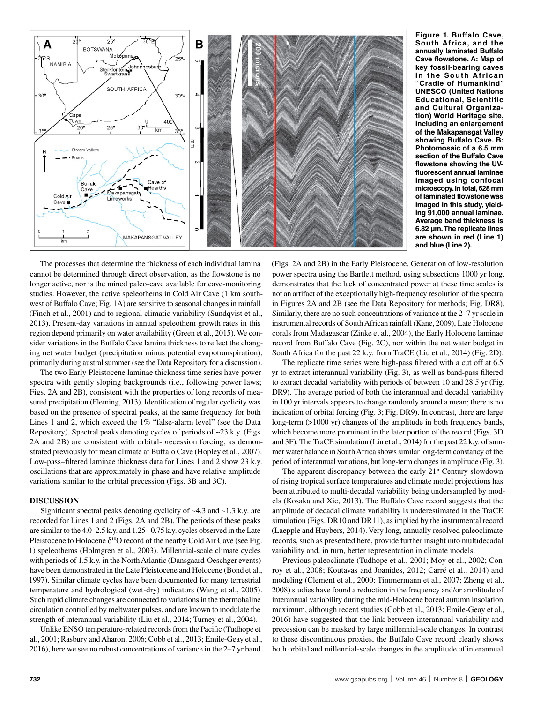

**Figure 1. Buffalo Cave, South Africa, and the annually laminated Buffalo Cave flowstone. A: Map of key fossil-bearing caves in the South African "Cradle of Humankind" UNESCO (United Nations Educational, Scientific and Cultural Organization) World Heritage site, including an enlargement of the Makapansgat Valley showing Buffalo Cave. B: Photomosaic of a 6.5 mm section of the Buffalo Cave flowstone showing the UVfluorescent annual laminae imaged using confocal microscopy. In total, 628 mm of laminated flowstone was imaged in this study, yielding 91,000 annual laminae. Average band thickness is 6.82 µm. The replicate lines are shown in red (Line 1) and blue (Line 2).**

The processes that determine the thickness of each individual lamina cannot be determined through direct observation, as the flowstone is no longer active, nor is the mined paleo-cave available for cave-monitoring studies. However, the active speleothems in Cold Air Cave (1 km southwest of Buffalo Cave; Fig. 1A) are sensitive to seasonal changes in rainfall (Finch et al., 2001) and to regional climatic variability (Sundqvist et al., 2013). Present-day variations in annual speleothem growth rates in this region depend primarily on water availability (Green et al., 2015). We consider variations in the Buffalo Cave lamina thickness to reflect the changing net water budget (precipitation minus potential evapotranspiration), primarily during austral summer (see the Data Repository for a discussion).

The two Early Pleistocene laminae thickness time series have power spectra with gently sloping backgrounds (i.e., following power laws; Figs. 2A and 2B), consistent with the properties of long records of measured precipitation (Fleming, 2013). Identification of regular cyclicity was based on the presence of spectral peaks, at the same frequency for both Lines 1 and 2, which exceed the 1% "false-alarm level" (see the Data Repository). Spectral peaks denoting cycles of periods of ~23 k.y. (Figs. 2A and 2B) are consistent with orbital-precession forcing, as demonstrated previously for mean climate at Buffalo Cave (Hopley et al., 2007). Low-pass–filtered laminae thickness data for Lines 1 and 2 show 23 k.y. oscillations that are approximately in phase and have relative amplitude variations similar to the orbital precession (Figs. 3B and 3C).

## **DISCUSSION**

Significant spectral peaks denoting cyclicity of  $\sim$ 4.3 and  $\sim$ 1.3 k.y. are recorded for Lines 1 and 2 (Figs. 2A and 2B). The periods of these peaks are similar to the 4.0–2.5 k.y. and 1.25– 0.75 k.y. cycles observed in the Late Pleistocene to Holocene  $\delta^{18}$ O record of the nearby Cold Air Cave (see Fig. 1) speleothems (Holmgren et al., 2003). Millennial-scale climate cycles with periods of 1.5 k.y. in the North Atlantic (Dansgaard-Oeschger events) have been demonstrated in the Late Pleistocene and Holocene (Bond et al., 1997). Similar climate cycles have been documented for many terrestrial temperature and hydrological (wet-dry) indicators (Wang et al., 2005). Such rapid climate changes are connected to variations in the thermohaline circulation controlled by meltwater pulses, and are known to modulate the strength of interannual variability (Liu et al., 2014; Turney et al., 2004).

Unlike ENSO temperature-related records from the Pacific (Tudhope et al., 2001; Rasbury and Aharon, 2006; Cobb et al., 2013; Emile-Geay et al., 2016), here we see no robust concentrations of variance in the 2–7 yr band

(Figs. 2A and 2B) in the Early Pleistocene. Generation of low-resolution power spectra using the Bartlett method, using subsections 1000 yr long, demonstrates that the lack of concentrated power at these time scales is not an artifact of the exceptionally high-frequency resolution of the spectra in Figures 2A and 2B (see the Data Repository for methods; Fig. DR8). Similarly, there are no such concentrations of variance at the 2–7 yr scale in instrumental records of South African rainfall (Kane, 2009), Late Holocene corals from Madagascar (Zinke et al., 2004), the Early Holocene laminae record from Buffalo Cave (Fig. 2C), nor within the net water budget in South Africa for the past 22 k.y. from TraCE (Liu et al., 2014) (Fig. 2D).

The replicate time series were high-pass filtered with a cut off at 6.5 yr to extract interannual variability (Fig. 3), as well as band-pass filtered to extract decadal variability with periods of between 10 and 28.5 yr (Fig. DR9). The average period of both the interannual and decadal variability in 100 yr intervals appears to change randomly around a mean; there is no indication of orbital forcing (Fig. 3; Fig. DR9). In contrast, there are large long-term (>1000 yr) changes of the amplitude in both frequency bands, which become more prominent in the later portion of the record (Figs. 3D and 3F). The TraCE simulation (Liu et al., 2014) for the past 22 k.y. of summer water balance in South Africa shows similar long-term constancy of the period of interannual variations, but long-term changes in amplitude (Fig. 3).

The apparent discrepancy between the early 21<sup>st</sup> Century slowdown of rising tropical surface temperatures and climate model projections has been attributed to multi-decadal variability being undersampled by models (Kosaka and Xie, 2013). The Buffalo Cave record suggests that the amplitude of decadal climate variability is underestimated in the TraCE simulation (Figs. DR10 and DR11), as implied by the instrumental record (Laepple and Huybers, 2014). Very long, annually resolved paleoclimate records, such as presented here, provide further insight into multidecadal variability and, in turn, better representation in climate models.

Previous paleoclimate (Tudhope et al., 2001; Moy et al., 2002; Conroy et al., 2008; Koutavas and Joanides, 2012; Carré et al., 2014) and modeling (Clement et al., 2000; Timmermann et al., 2007; Zheng et al., 2008) studies have found a reduction in the frequency and/or amplitude of interannual variability during the mid-Holocene boreal autumn insolation maximum, although recent studies (Cobb et al., 2013; Emile-Geay et al., 2016) have suggested that the link between interannual variability and precession can be masked by large millennial-scale changes. In contrast to these discontinuous proxies, the Buffalo Cave record clearly shows both orbital and millennial-scale changes in the amplitude of interannual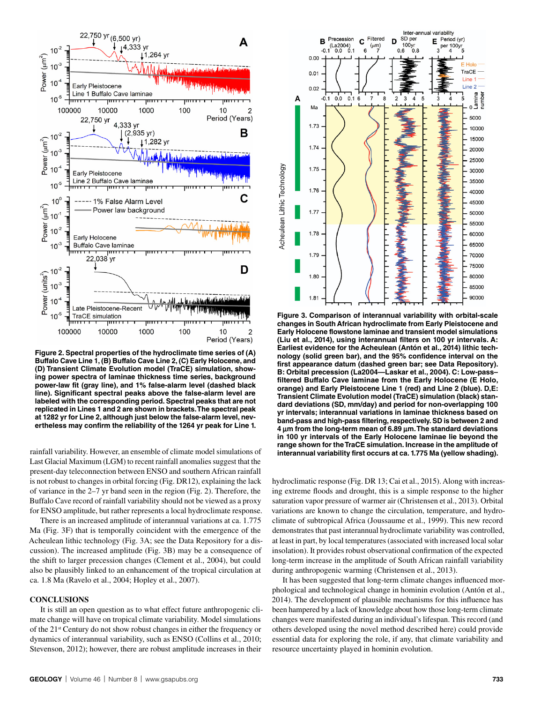

**Figure 2. Spectral properties of the hydroclimate time series of (A) Buffalo Cave Line 1, (B) Buffalo Cave Line 2, (C) Early Holocene, and (D) Transient Climate Evolution model (TraCE) simulation, showing power spectra of laminae thickness time series, background power-law fit (gray line), and 1% false-alarm level (dashed black line). Significant spectral peaks above the false-alarm level are labeled with the corresponding period. Spectral peaks that are not replicated in Lines 1 and 2 are shown in brackets. The spectral peak at 1282 yr for Line 2, although just below the false-alarm level, nevertheless may confirm the reliability of the 1264 yr peak for Line 1.**

rainfall variability. However, an ensemble of climate model simulations of Last Glacial Maximum (LGM) to recent rainfall anomalies suggest that the present-day teleconnection between ENSO and southern African rainfall is not robust to changes in orbital forcing (Fig. DR12), explaining the lack of variance in the 2–7 yr band seen in the region (Fig. 2). Therefore, the Buffalo Cave record of rainfall variability should not be viewed as a proxy for ENSO amplitude, but rather represents a local hydroclimate response.

There is an increased amplitude of interannual variations at ca. 1.775 Ma (Fig. 3F) that is temporally coincident with the emergence of the Acheulean lithic technology (Fig. 3A; see the Data Repository for a discussion). The increased amplitude (Fig. 3B) may be a consequence of the shift to larger precession changes (Clement et al., 2004), but could also be plausibly linked to an enhancement of the tropical circulation at ca. 1.8 Ma (Ravelo et al., 2004; Hopley et al., 2007).

## **CONCLUSIONS**

It is still an open question as to what effect future anthropogenic climate change will have on tropical climate variability. Model simulations of the 21st Century do not show robust changes in either the frequency or dynamics of interannual variability, such as ENSO (Collins et al., 2010; Stevenson, 2012); however, there are robust amplitude increases in their



**Figure 3. Comparison of interannual variability with orbital-scale changes in South African hydroclimate from Early Pleistocene and Early Holocene flowstone laminae and transient model simulations (Liu et al., 2014), using interannual filters on 100 yr intervals. A: Earliest evidence for the Acheulean (Antón et al., 2014) lithic technology (solid green bar), and the 95% confidence interval on the first appearance datum (dashed green bar; see Data Repository). B: Orbital precession (La2004—Laskar et al., 2004). C: Low-pass– filtered Buffalo Cave laminae from the Early Holocene (E Holo, orange) and Early Pleistocene Line 1 (red) and Line 2 (blue). D,E: Transient Climate Evolution model (TraCE) simulation (black) standard deviations (SD, mm/day) and period for non-overlapping 100 yr intervals; interannual variations in laminae thickness based on band-pass and high-pass filtering, respectively. SD is between 2 and 4** μ**m from the long-term mean of 6.89** μ**m. The standard deviations in 100 yr intervals of the Early Holocene laminae lie beyond the range shown for the TraCE simulation. Increase in the amplitude of interannual variability first occurs at ca. 1.775 Ma (yellow shading).**

hydroclimatic response (Fig. DR 13; Cai et al., 2015). Along with increasing extreme floods and drought, this is a simple response to the higher saturation vapor pressure of warmer air (Christensen et al., 2013). Orbital variations are known to change the circulation, temperature, and hydroclimate of subtropical Africa (Joussaume et al., 1999). This new record demonstrates that past interannual hydroclimate variability was controlled, at least in part, by local temperatures (associated with increased local solar insolation). It provides robust observational confirmation of the expected long-term increase in the amplitude of South African rainfall variability during anthropogenic warming (Christensen et al., 2013).

It has been suggested that long-term climate changes influenced morphological and technological change in hominin evolution (Antón et al., 2014). The development of plausible mechanisms for this influence has been hampered by a lack of knowledge about how those long-term climate changes were manifested during an individual's lifespan. This record (and others developed using the novel method described here) could provide essential data for exploring the role, if any, that climate variability and resource uncertainty played in hominin evolution.